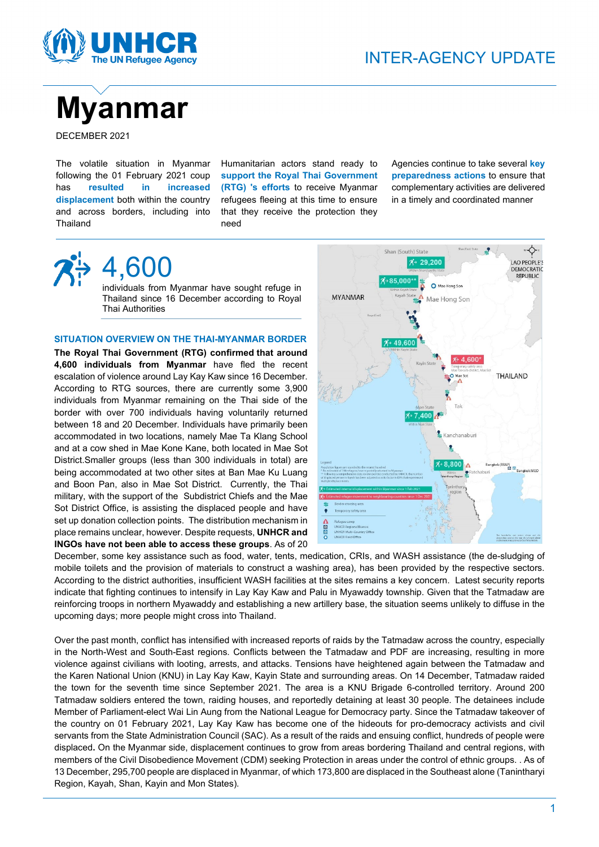



DECEMBER 2021

The volatile situation in Myanmar following the 01 February 2021 coup has **resulted in increased displacement** both within the country and across borders, including into Thailand

Humanitarian actors stand ready to **support the Royal Thai Government (RTG) 's efforts** to receive Myanmar refugees fleeing at this time to ensure that they receive the protection they need

Agencies continue to take several **key preparedness actions** to ensure that complementary activities are delivered in a timely and coordinated manner



# 4,600

individuals from Myanmar have sought refuge in Thailand since 16 December according to Royal Thai Authorities

## **SITUATION OVERVIEW ON THE THAI-MYANMAR BORDER**

**The Royal Thai Government (RTG) confirmed that around 4,600 individuals from Myanmar** have fled the recent escalation of violence around Lay Kay Kaw since 16 December. According to RTG sources, there are currently some 3,900 individuals from Myanmar remaining on the Thai side of the border with over 700 individuals having voluntarily returned between 18 and 20 December. Individuals have primarily been accommodated in two locations, namely Mae Ta Klang School and at a cow shed in Mae Kone Kane, both located in Mae Sot District.Smaller groups (less than 300 individuals in total) are being accommodated at two other sites at Ban Mae Ku Luang and Boon Pan, also in Mae Sot District. Currently, the Thai military, with the support of the Subdistrict Chiefs and the Mae Sot District Office, is assisting the displaced people and have set up donation collection points. The distribution mechanism in place remains unclear, however. Despite requests, **UNHCR and INGOs have not been able to access these groups**. As of 20



December, some key assistance such as food, water, tents, medication, CRIs, and WASH assistance (the de-sludging of mobile toilets and the provision of materials to construct a washing area), has been provided by the respective sectors. According to the district authorities, insufficient WASH facilities at the sites remains a key concern. Latest security reports indicate that fighting continues to intensify in Lay Kay Kaw and Palu in Myawaddy township. Given that the Tatmadaw are reinforcing troops in northern Myawaddy and establishing a new artillery base, the situation seems unlikely to diffuse in the upcoming days; more people might cross into Thailand.

Over the past month, conflict has intensified with increased reports of raids by the Tatmadaw across the country, especially in the North-West and South-East regions. Conflicts between the Tatmadaw and PDF are increasing, resulting in more violence against civilians with looting, arrests, and attacks. Tensions have heightened again between the Tatmadaw and the Karen National Union (KNU) in Lay Kay Kaw, Kayin State and surrounding areas. On 14 December, Tatmadaw raided the town for the seventh time since September 2021. The area is a KNU Brigade 6-controlled territory. Around 200 Tatmadaw soldiers entered the town, raiding houses, and reportedly detaining at least 30 people. The detainees include Member of Parliament-elect Wai Lin Aung from the National League for Democracy party. Since the Tatmadaw takeover of the country on 01 February 2021, Lay Kay Kaw has become one of the hideouts for pro-democracy activists and civil servants from the State Administration Council (SAC). As a result of the raids and ensuing conflict, hundreds of people were displaced**.** On the Myanmar side, displacement continues to grow from areas bordering Thailand and central regions, with members of the Civil Disobedience Movement (CDM) seeking Protection in areas under the control of ethnic groups. . As of 13 December, 295,700 people are displaced in Myanmar, of which 173,800 are displaced in the Southeast alone (Tanintharyi Region, Kayah, Shan, Kayin and Mon States).